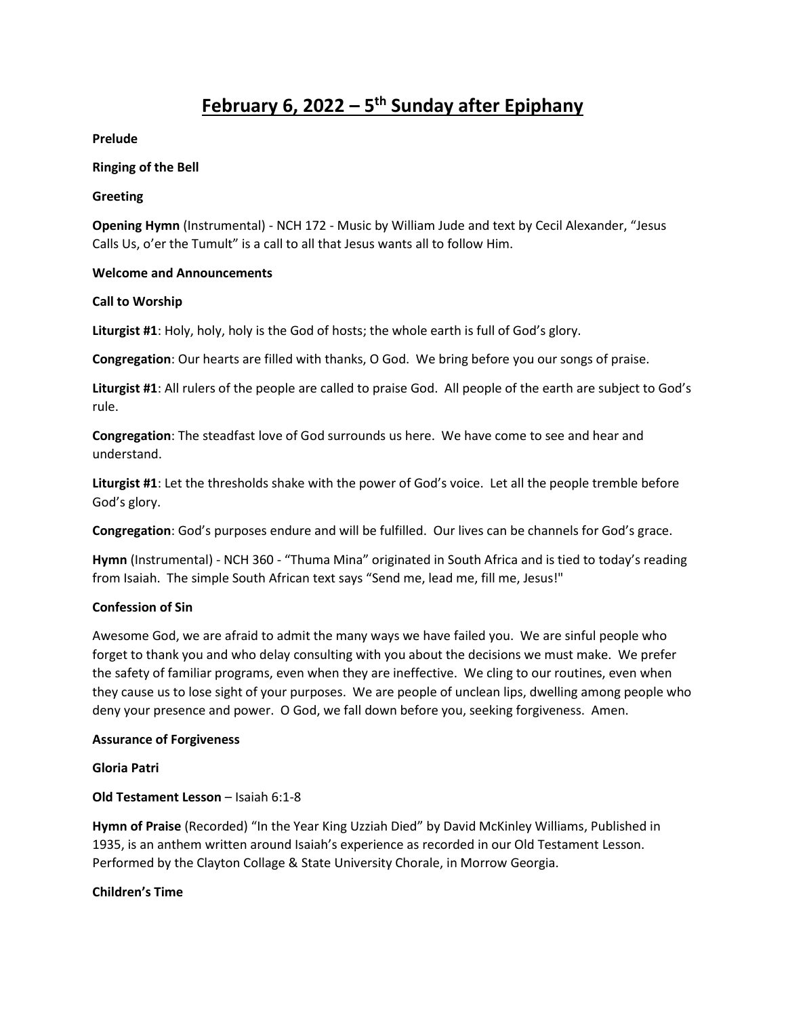# **February 6, 2022 – 5 th Sunday after Epiphany**

**Prelude**

#### **Ringing of the Bell**

#### **Greeting**

**Opening Hymn** (Instrumental) - NCH 172 - Music by William Jude and text by Cecil Alexander, "Jesus Calls Us, o'er the Tumult" is a call to all that Jesus wants all to follow Him.

#### **Welcome and Announcements**

#### **Call to Worship**

**Liturgist #1**: Holy, holy, holy is the God of hosts; the whole earth is full of God's glory.

**Congregation**: Our hearts are filled with thanks, O God. We bring before you our songs of praise.

**Liturgist #1**: All rulers of the people are called to praise God. All people of the earth are subject to God's rule.

**Congregation**: The steadfast love of God surrounds us here. We have come to see and hear and understand.

**Liturgist #1**: Let the thresholds shake with the power of God's voice. Let all the people tremble before God's glory.

**Congregation**: God's purposes endure and will be fulfilled. Our lives can be channels for God's grace.

**Hymn** (Instrumental) - NCH 360 - "Thuma Mina" originated in South Africa and is tied to today's reading from Isaiah. The simple South African text says "Send me, lead me, fill me, Jesus!"

## **Confession of Sin**

Awesome God, we are afraid to admit the many ways we have failed you. We are sinful people who forget to thank you and who delay consulting with you about the decisions we must make. We prefer the safety of familiar programs, even when they are ineffective. We cling to our routines, even when they cause us to lose sight of your purposes. We are people of unclean lips, dwelling among people who deny your presence and power. O God, we fall down before you, seeking forgiveness. Amen.

#### **Assurance of Forgiveness**

#### **Gloria Patri**

## **Old Testament Lesson** – Isaiah 6:1-8

**Hymn of Praise** (Recorded) "In the Year King Uzziah Died" by David McKinley Williams, Published in 1935, is an anthem written around Isaiah's experience as recorded in our Old Testament Lesson. Performed by the Clayton Collage & State University Chorale, in Morrow Georgia.

#### **Children's Time**